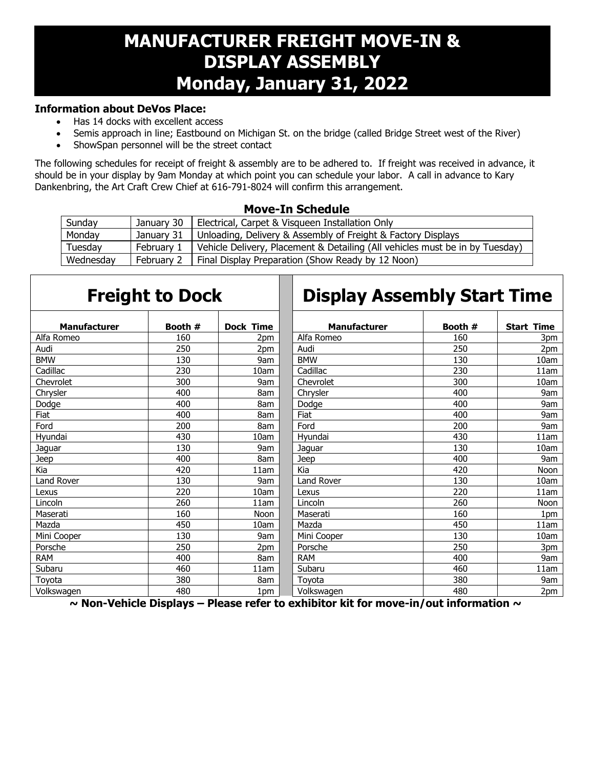## **MANUFACTURER FREIGHT MOVE-IN & DISPLAY ASSEMBLY Monday, January 31, 2022**

## **Information about DeVos Place:**

- Has 14 docks with excellent access
- Semis approach in line; Eastbound on Michigan St. on the bridge (called Bridge Street west of the River)
- ShowSpan personnel will be the street contact

The following schedules for receipt of freight & assembly are to be adhered to. If freight was received in advance, it should be in your display by 9am Monday at which point you can schedule your labor. A call in advance to Kary Dankenbring, the Art Craft Crew Chief at 616-791-8024 will confirm this arrangement.

П

## **Move-In Schedule**

| Sunday    | January 30 | Electrical, Carpet & Visqueen Installation Only                              |
|-----------|------------|------------------------------------------------------------------------------|
| Monday    | January 31 | Unloading, Delivery & Assembly of Freight & Factory Displays                 |
| Tuesday   | Februarv   | Vehicle Delivery, Placement & Detailing (All vehicles must be in by Tuesday) |
| Wednesday | February 2 | Final Display Preparation (Show Ready by 12 Noon)                            |

|                     | <b>Freight to Dock</b> |                  | <b>Display Assembly Start Time</b> |         |                   |
|---------------------|------------------------|------------------|------------------------------------|---------|-------------------|
| <b>Manufacturer</b> | Booth #                | <b>Dock Time</b> | <b>Manufacturer</b>                | Booth # | <b>Start Time</b> |
| Alfa Romeo          | 160                    | 2pm              | Alfa Romeo                         | 160     | 3pm               |
| Audi                | 250                    | 2pm              | Audi                               | 250     | 2pm               |
| <b>BMW</b>          | 130                    | 9am              | <b>BMW</b>                         | 130     | 10am              |
| Cadillac            | 230                    | 10am             | Cadillac                           | 230     | 11am              |
| Chevrolet           | 300                    | 9am              | Chevrolet                          | 300     | 10am              |
| Chrysler            | 400                    | 8am              | Chrysler                           | 400     | 9am               |
| Dodge               | 400                    | 8am              | Dodge                              | 400     | 9am               |
| Fiat                | 400                    | 8am              | Fiat                               | 400     | 9am               |
| Ford                | 200                    | 8am              | Ford                               | 200     | 9am               |
| Hyundai             | 430                    | 10am             | Hvundai                            | 430     | 11am              |
| Jaguar              | 130                    | 9am              | Jaguar                             | 130     | 10am              |
| Jeep                | 400                    | 8am              | Jeep                               | 400     | 9am               |
| Kia                 | 420                    | 11am             | Kia                                | 420     | Noon              |
| <b>Land Rover</b>   | 130                    | 9am              | <b>Land Rover</b>                  | 130     | 10am              |
| Lexus               | 220                    | 10am             | Lexus                              | 220     | 11am              |
| Lincoln             | 260                    | 11am             | Lincoln                            | 260     | Noon              |
| Maserati            | 160                    | Noon             | Maserati                           | 160     | 1pm               |
| Mazda               | 450                    | 10am             | Mazda                              | 450     | 11am              |
| Mini Cooper         | 130                    | 9am              | Mini Cooper                        | 130     | 10am              |
| Porsche             | 250                    | 2pm              | Porsche                            | 250     | 3pm               |
| <b>RAM</b>          | 400                    | 8am              | <b>RAM</b>                         | 400     | 9am               |
| Subaru              | 460                    | 11am             | Subaru                             | 460     | 11am              |
| Toyota              | 380                    | 8am              | Toyota                             | 380     | 9am               |
| Volkswagen          | 480                    | 1pm              | Volkswagen                         | 480     | 2pm               |

 **~ Non-Vehicle Displays – Please refer to exhibitor kit for move-in/out information ~**